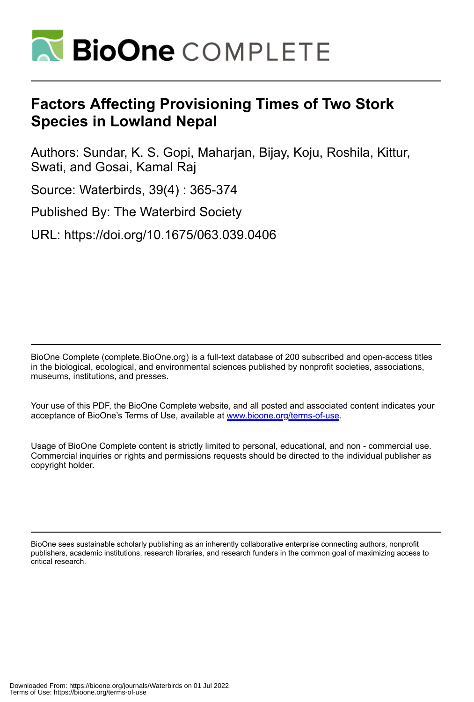

# **Factors Affecting Provisioning Times of Two Stork Species in Lowland Nepal**

Authors: Sundar, K. S. Gopi, Maharjan, Bijay, Koju, Roshila, Kittur, Swati, and Gosai, Kamal Raj

Source: Waterbirds, 39(4) : 365-374

Published By: The Waterbird Society

URL: https://doi.org/10.1675/063.039.0406

BioOne Complete (complete.BioOne.org) is a full-text database of 200 subscribed and open-access titles in the biological, ecological, and environmental sciences published by nonprofit societies, associations, museums, institutions, and presses.

Your use of this PDF, the BioOne Complete website, and all posted and associated content indicates your acceptance of BioOne's Terms of Use, available at www.bioone.org/terms-of-use.

Usage of BioOne Complete content is strictly limited to personal, educational, and non - commercial use. Commercial inquiries or rights and permissions requests should be directed to the individual publisher as copyright holder.

BioOne sees sustainable scholarly publishing as an inherently collaborative enterprise connecting authors, nonprofit publishers, academic institutions, research libraries, and research funders in the common goal of maximizing access to critical research.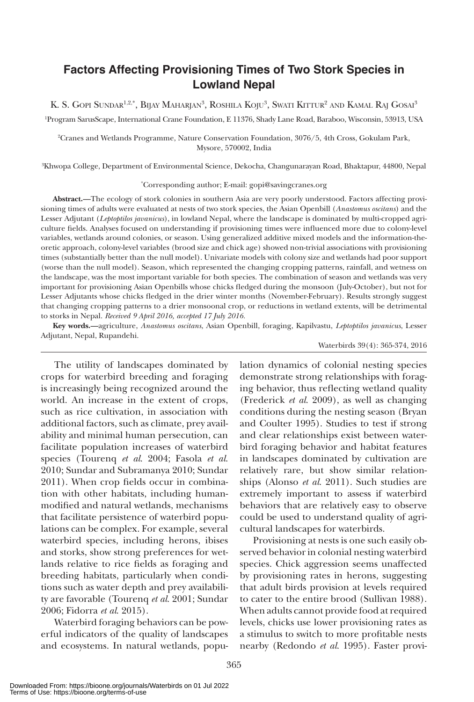# **Factors Affecting Provisioning Times of Two Stork Species in Lowland Nepal**

K. S. Gopi Sundar<sup>1,2,\*</sup>, Bijay Maharjan<sup>3</sup>, Roshila Koju<sup>3</sup>, Swati Kittur<sup>2</sup> and Kamal Raj Gosai<sup>3</sup>

1 Program SarusScape, International Crane Foundation, E 11376, Shady Lane Road, Baraboo, Wisconsin, 53913, USA

2 Cranes and Wetlands Programme, Nature Conservation Foundation, 3076/5, 4th Cross, Gokulam Park, Mysore, 570002, India

3 Khwopa College, Department of Environmental Science, Dekocha, Changunarayan Road, Bhaktapur, 44800, Nepal

#### \* Corresponding author; E-mail: gopi@savingcranes.org

**Abstract.—**The ecology of stork colonies in southern Asia are very poorly understood. Factors affecting provisioning times of adults were evaluated at nests of two stork species, the Asian Openbill (*Anastomus oscitans*) and the Lesser Adjutant (*Leptoptilos javanicus*), in lowland Nepal, where the landscape is dominated by multi-cropped agriculture fields. Analyses focused on understanding if provisioning times were influenced more due to colony-level variables, wetlands around colonies, or season. Using generalized additive mixed models and the information-theoretic approach, colony-level variables (brood size and chick age) showed non-trivial associations with provisioning times (substantially better than the null model). Univariate models with colony size and wetlands had poor support (worse than the null model). Season, which represented the changing cropping patterns, rainfall, and wetness on the landscape, was the most important variable for both species. The combination of season and wetlands was very important for provisioning Asian Openbills whose chicks fledged during the monsoon (July-October), but not for Lesser Adjutants whose chicks fledged in the drier winter months (November-February). Results strongly suggest that changing cropping patterns to a drier monsoonal crop, or reductions in wetland extents, will be detrimental to storks in Nepal. *Received 9 April 2016, accepted 17 July 2016.*

**Key words.—**agriculture, *Anastomus oscitans*, Asian Openbill, foraging, Kapilvastu, *Leptoptilos javanicus*, Lesser Adjutant, Nepal, Rupandehi.

#### Waterbirds 39(4): 365-374, 2016

The utility of landscapes dominated by crops for waterbird breeding and foraging is increasingly being recognized around the world. An increase in the extent of crops, such as rice cultivation, in association with additional factors, such as climate, prey availability and minimal human persecution, can facilitate population increases of waterbird species (Tourenq *et al*. 2004; Fasola *et al*. 2010; Sundar and Subramanya 2010; Sundar 2011). When crop fields occur in combination with other habitats, including humanmodified and natural wetlands, mechanisms that facilitate persistence of waterbird populations can be complex. For example, several waterbird species, including herons, ibises and storks, show strong preferences for wetlands relative to rice fields as foraging and breeding habitats, particularly when conditions such as water depth and prey availability are favorable (Tourenq *et al*. 2001; Sundar 2006; Fidorra *et al*. 2015).

Waterbird foraging behaviors can be powerful indicators of the quality of landscapes and ecosystems. In natural wetlands, population dynamics of colonial nesting species demonstrate strong relationships with foraging behavior, thus reflecting wetland quality (Frederick *et al*. 2009), as well as changing conditions during the nesting season (Bryan and Coulter 1995). Studies to test if strong and clear relationships exist between waterbird foraging behavior and habitat features in landscapes dominated by cultivation are relatively rare, but show similar relationships (Alonso *et al*. 2011). Such studies are extremely important to assess if waterbird behaviors that are relatively easy to observe could be used to understand quality of agricultural landscapes for waterbirds.

Provisioning at nests is one such easily observed behavior in colonial nesting waterbird species. Chick aggression seems unaffected by provisioning rates in herons, suggesting that adult birds provision at levels required to cater to the entire brood (Sullivan 1988). When adults cannot provide food at required levels, chicks use lower provisioning rates as a stimulus to switch to more profitable nests nearby (Redondo *et al*. 1995). Faster provi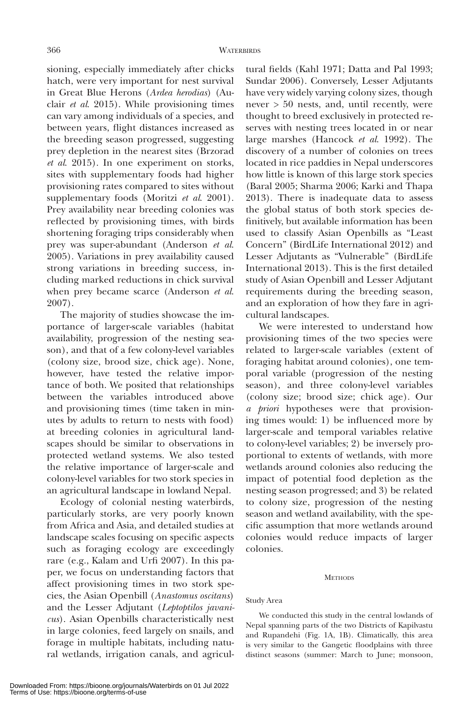sioning, especially immediately after chicks hatch, were very important for nest survival in Great Blue Herons (*Ardea herodias*) (Auclair *et al*. 2015). While provisioning times can vary among individuals of a species, and between years, flight distances increased as the breeding season progressed, suggesting prey depletion in the nearest sites (Brzorad *et al*. 2015). In one experiment on storks, sites with supplementary foods had higher provisioning rates compared to sites without supplementary foods (Moritzi *et al*. 2001). Prey availability near breeding colonies was reflected by provisioning times, with birds shortening foraging trips considerably when prey was super-abundant (Anderson *et al*. 2005). Variations in prey availability caused strong variations in breeding success, including marked reductions in chick survival when prey became scarce (Anderson *et al*. 2007).

The majority of studies showcase the importance of larger-scale variables (habitat availability, progression of the nesting season), and that of a few colony-level variables (colony size, brood size, chick age). None, however, have tested the relative importance of both. We posited that relationships between the variables introduced above and provisioning times (time taken in minutes by adults to return to nests with food) at breeding colonies in agricultural landscapes should be similar to observations in protected wetland systems. We also tested the relative importance of larger-scale and colony-level variables for two stork species in an agricultural landscape in lowland Nepal.

Ecology of colonial nesting waterbirds, particularly storks, are very poorly known from Africa and Asia, and detailed studies at landscape scales focusing on specific aspects such as foraging ecology are exceedingly rare (e.g., Kalam and Urfi 2007). In this paper, we focus on understanding factors that affect provisioning times in two stork species, the Asian Openbill (*Anastomus oscitans*) and the Lesser Adjutant (*Leptoptilos javanicus*). Asian Openbills characteristically nest in large colonies, feed largely on snails, and forage in multiple habitats, including natural wetlands, irrigation canals, and agricultural fields (Kahl 1971; Datta and Pal 1993; Sundar 2006). Conversely, Lesser Adjutants have very widely varying colony sizes, though never > 50 nests, and, until recently, were thought to breed exclusively in protected reserves with nesting trees located in or near large marshes (Hancock *et al*. 1992). The discovery of a number of colonies on trees located in rice paddies in Nepal underscores how little is known of this large stork species (Baral 2005; Sharma 2006; Karki and Thapa 2013). There is inadequate data to assess the global status of both stork species definitively, but available information has been used to classify Asian Openbills as "Least Concern" (BirdLife International 2012) and Lesser Adjutants as "Vulnerable" (BirdLife International 2013). This is the first detailed study of Asian Openbill and Lesser Adjutant requirements during the breeding season, and an exploration of how they fare in agricultural landscapes.

We were interested to understand how provisioning times of the two species were related to larger-scale variables (extent of foraging habitat around colonies), one temporal variable (progression of the nesting season), and three colony-level variables (colony size; brood size; chick age). Our *a priori* hypotheses were that provisioning times would: 1) be influenced more by larger-scale and temporal variables relative to colony-level variables; 2) be inversely proportional to extents of wetlands, with more wetlands around colonies also reducing the impact of potential food depletion as the nesting season progressed; and 3) be related to colony size, progression of the nesting season and wetland availability, with the specific assumption that more wetlands around colonies would reduce impacts of larger colonies.

#### **METHODS**

# Study Area

We conducted this study in the central lowlands of Nepal spanning parts of the two Districts of Kapilvastu and Rupandehi (Fig. 1A, 1B). Climatically, this area is very similar to the Gangetic floodplains with three distinct seasons (summer: March to June; monsoon,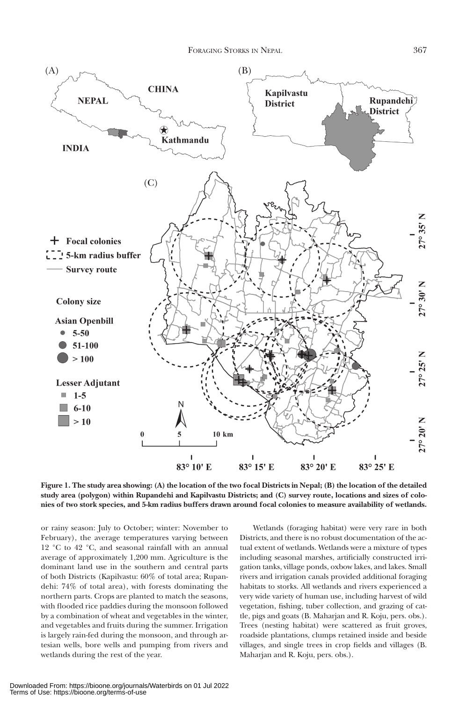

**Figure 1. The study area showing: (A) the location of the two focal Districts in Nepal; (B) the location of the detailed study area (polygon) within Rupandehi and Kapilvastu Districts; and (C) survey route, locations and sizes of colonies of two stork species, and 5-km radius buffers drawn around focal colonies to measure availability of wetlands.**

or rainy season: July to October; winter: November to February), the average temperatures varying between 12 °C to 42 °C, and seasonal rainfall with an annual average of approximately 1,200 mm. Agriculture is the dominant land use in the southern and central parts of both Districts (Kapilvastu: 60% of total area; Rupandehi: 74% of total area), with forests dominating the northern parts. Crops are planted to match the seasons, with flooded rice paddies during the monsoon followed by a combination of wheat and vegetables in the winter, and vegetables and fruits during the summer. Irrigation is largely rain-fed during the monsoon, and through artesian wells, bore wells and pumping from rivers and wetlands during the rest of the year.

Wetlands (foraging habitat) were very rare in both Districts, and there is no robust documentation of the actual extent of wetlands. Wetlands were a mixture of types including seasonal marshes, artificially constructed irrigation tanks, village ponds, oxbow lakes, and lakes. Small rivers and irrigation canals provided additional foraging habitats to storks. All wetlands and rivers experienced a very wide variety of human use, including harvest of wild vegetation, fishing, tuber collection, and grazing of cattle, pigs and goats (B. Maharjan and R. Koju, pers. obs.). Trees (nesting habitat) were scattered as fruit groves, roadside plantations, clumps retained inside and beside villages, and single trees in crop fields and villages (B. Maharjan and R. Koju, pers. obs.).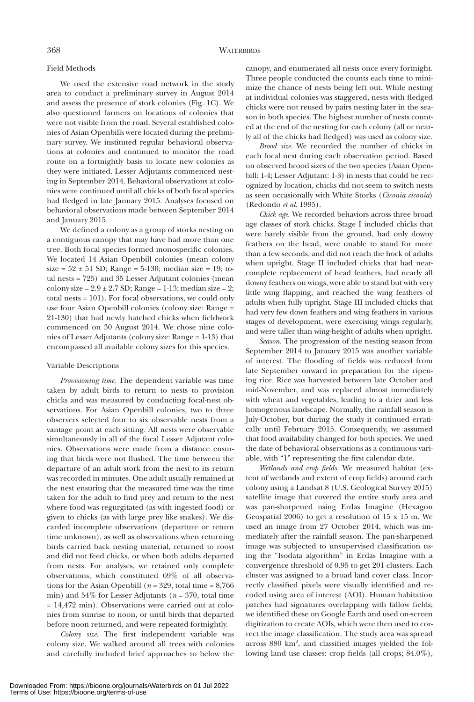# Field Methods

We used the extensive road network in the study area to conduct a preliminary survey in August 2014 and assess the presence of stork colonies (Fig. 1C). We also questioned farmers on locations of colonies that were not visible from the road. Several established colonies of Asian Openbills were located during the preliminary survey. We instituted regular behavioral observations at colonies and continued to monitor the road route on a fortnightly basis to locate new colonies as they were initiated. Lesser Adjutants commenced nesting in September 2014. Behavioral observations at colonies were continued until all chicks of both focal species had fledged in late January 2015. Analyses focused on behavioral observations made between September 2014 and January 2015.

We defined a colony as a group of storks nesting on a contiguous canopy that may have had more than one tree. Both focal species formed monospecific colonies. We located 14 Asian Openbill colonies (mean colony size =  $52 \pm 51$  SD; Range =  $5-130$ ; median size = 19; total nests = 725) and 35 Lesser Adjutant colonies (mean colony size =  $2.9 \pm 2.7$  SD; Range = 1-13; median size = 2; total nests = 101). For focal observations, we could only use four Asian Openbill colonies (colony size: Range = 21-130) that had newly hatched chicks when fieldwork commenced on 30 August 2014. We chose nine colonies of Lesser Adjutants (colony size: Range = 1-13) that encompassed all available colony sizes for this species.

#### Variable Descriptions

*Provisioning time.* The dependent variable was time taken by adult birds to return to nests to provision chicks and was measured by conducting focal-nest observations. For Asian Openbill colonies, two to three observers selected four to six observable nests from a vantage point at each sitting. All nests were observable simultaneously in all of the focal Lesser Adjutant colonies. Observations were made from a distance ensuring that birds were not flushed. The time between the departure of an adult stork from the nest to its return was recorded in minutes. One adult usually remained at the nest ensuring that the measured time was the time taken for the adult to find prey and return to the nest where food was regurgitated (as with ingested food) or given to chicks (as with large prey like snakes). We discarded incomplete observations (departure or return time unknown), as well as observations when returning birds carried back nesting material, returned to roost and did not feed chicks, or when both adults departed from nests. For analyses, we retained only complete observations, which constituted 69% of all observations for the Asian Openbill ( $n = 329$ , total time  $= 8,766$ min) and 54% for Lesser Adjutants (*n* = 370, total time = 14,472 min). Observations were carried out at colonies from sunrise to noon, or until birds that departed before noon returned, and were repeated fortnightly.

*Colony size.* The first independent variable was colony size. We walked around all trees with colonies and carefully included brief approaches to below the canopy, and enumerated all nests once every fortnight. Three people conducted the counts each time to minimize the chance of nests being left out. While nesting at individual colonies was staggered, nests with fledged chicks were not reused by pairs nesting later in the season in both species. The highest number of nests counted at the end of the nesting for each colony (all or nearly all of the chicks had fledged) was used as colony size.

*Brood size.* We recorded the number of chicks in each focal nest during each observation period. Based on observed brood sizes of the two species (Asian Openbill: 1-4; Lesser Adjutant: 1-3) in nests that could be recognized by location, chicks did not seem to switch nests as seen occasionally with White Storks (*Ciconia ciconia*) (Redondo *et al*. 1995).

*Chick age.* We recorded behaviors across three broad age classes of stork chicks. Stage I included chicks that were barely visible from the ground, had only downy feathers on the head, were unable to stand for more than a few seconds, and did not reach the hock of adults when upright. Stage II included chicks that had nearcomplete replacement of head feathers, had nearly all downy feathers on wings, were able to stand but with very little wing flapping, and reached the wing feathers of adults when fully upright. Stage III included chicks that had very few down feathers and wing feathers in various stages of development, were exercising wings regularly, and were taller than wing-height of adults when upright.

*Season.* The progression of the nesting season from September 2014 to January 2015 was another variable of interest. The flooding of fields was reduced from late September onward in preparation for the ripening rice. Rice was harvested between late October and mid-November, and was replaced almost immediately with wheat and vegetables, leading to a drier and less homogenous landscape. Normally, the rainfall season is July-October, but during the study it continued erratically until February 2015. Consequently, we assumed that food availability changed for both species. We used the date of behavioral observations as a continuous variable, with "1" representing the first calendar date.

*Wetlands and crop fields.* We measured habitat (extent of wetlands and extent of crop fields) around each colony using a Landsat 8 (U.S. Geological Survey 2015) satellite image that covered the entire study area and was pan-sharpened using Erdas Imagine (Hexagon Geospatial 2006) to get a resolution of 15 x 15 m. We used an image from 27 October 2014, which was immediately after the rainfall season. The pan-sharpened image was subjected to unsupervised classification using the "Isodata algorithm" in Erdas Imagine with a convergence threshold of 0.95 to get 201 clusters. Each cluster was assigned to a broad land cover class. Incorrectly classified pixels were visually identified and recoded using area of interest (AOI). Human habitation patches had signatures overlapping with fallow fields; we identified these on Google Earth and used on-screen digitization to create AOIs, which were then used to correct the image classification. The study area was spread across 880 km2 , and classified images yielded the following land use classes: crop fields (all crops; 84.0%),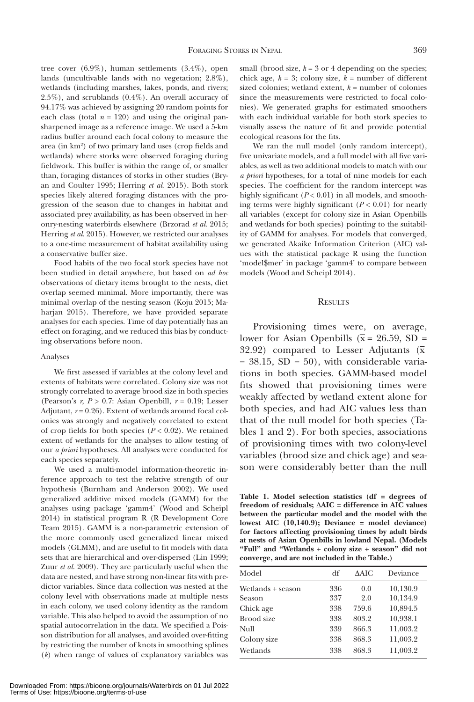tree cover (6.9%), human settlements (3.4%), open lands (uncultivable lands with no vegetation; 2.8%), wetlands (including marshes, lakes, ponds, and rivers; 2.5%), and scrublands (0.4%). An overall accuracy of 94.17% was achieved by assigning 20 random points for each class (total  $n = 120$ ) and using the original pansharpened image as a reference image. We used a 5-km radius buffer around each focal colony to measure the area (in km2 ) of two primary land uses (crop fields and wetlands) where storks were observed foraging during fieldwork. This buffer is within the range of, or smaller than, foraging distances of storks in other studies (Bryan and Coulter 1995; Herring *et al*. 2015). Both stork species likely altered foraging distances with the progression of the season due to changes in habitat and associated prey availability, as has been observed in heronry-nesting waterbirds elsewhere (Brzorad *et al*. 2015; Herring *et al*. 2015). However, we restricted our analyses to a one-time measurement of habitat availability using a conservative buffer size.

Food habits of the two focal stork species have not been studied in detail anywhere, but based on *ad hoc* observations of dietary items brought to the nests, diet overlap seemed minimal. More importantly, there was minimal overlap of the nesting season (Koju 2015; Maharjan 2015). Therefore, we have provided separate analyses for each species. Time of day potentially has an effect on foraging, and we reduced this bias by conducting observations before noon.

#### Analyses

We first assessed if variables at the colony level and extents of habitats were correlated. Colony size was not strongly correlated to average brood size in both species (Pearson's *r*, *P* > 0.7: Asian Openbill, *r* = 0.19; Lesser Adjutant, *r* = 0.26). Extent of wetlands around focal colonies was strongly and negatively correlated to extent of crop fields for both species (*P* < 0.02). We retained extent of wetlands for the analyses to allow testing of our *a priori* hypotheses. All analyses were conducted for each species separately.

We used a multi-model information-theoretic inference approach to test the relative strength of our hypothesis (Burnham and Anderson 2002). We used generalized additive mixed models (GAMM) for the analyses using package 'gamm4' (Wood and Scheipl 2014) in statistical program R (R Development Core Team 2015). GAMM is a non-parametric extension of the more commonly used generalized linear mixed models (GLMM), and are useful to fit models with data sets that are hierarchical and over-dispersed (Lin 1999; Zuur *et al*. 2009). They are particularly useful when the data are nested, and have strong non-linear fits with predictor variables. Since data collection was nested at the colony level with observations made at multiple nests in each colony, we used colony identity as the random variable. This also helped to avoid the assumption of no spatial autocorrelation in the data. We specified a Poisson distribution for all analyses, and avoided over-fitting by restricting the number of knots in smoothing splines (*k*) when range of values of explanatory variables was small (brood size,  $k = 3$  or 4 depending on the species; chick age,  $k = 3$ ; colony size,  $k =$  number of different sized colonies; wetland extent,  $k =$  number of colonies since the measurements were restricted to focal colonies). We generated graphs for estimated smoothers with each individual variable for both stork species to visually assess the nature of fit and provide potential ecological reasons for the fits.

We ran the null model (only random intercept), five univariate models, and a full model with all five variables, as well as two additional models to match with our *a priori* hypotheses, for a total of nine models for each species. The coefficient for the random intercept was highly significant (*P* < 0.01) in all models, and smoothing terms were highly significant  $(P < 0.01)$  for nearly all variables (except for colony size in Asian Openbills and wetlands for both species) pointing to the suitability of GAMM for analyses. For models that converged, we generated Akaike Information Criterion (AIC) values with the statistical package R using the function 'model\$mer' in package 'gamm4' to compare between models (Wood and Scheipl 2014).

# **RESULTS**

Provisioning times were, on average, lower for Asian Openbills ( $\bar{x}$  = 26.59, SD = 32.92) compared to Lesser Adjutants ( $\overline{x}$ )  $= 38.15$ , SD  $= 50$ ), with considerable variations in both species. GAMM-based model fits showed that provisioning times were weakly affected by wetland extent alone for both species, and had AIC values less than that of the null model for both species (Tables 1 and 2). For both species, associations of provisioning times with two colony-level variables (brood size and chick age) and season were considerably better than the null

**Table 1. Model selection statistics (df = degrees of freedom of residuals;** Δ**AIC = difference in AIC values between the particular model and the model with the lowest AIC (10,140.9); Deviance = model deviance) for factors affecting provisioning times by adult birds at nests of Asian Openbills in lowland Nepal. (Models "Full" and "Wetlands + colony size + season" did not converge, and are not included in the Table.)**

| Model             | df  | <b>AAIC</b> | Deviance |
|-------------------|-----|-------------|----------|
| Wetlands + season | 336 | 0.0         | 10.130.9 |
| Season            | 337 | 2.0         | 10,134.9 |
| Chick age         | 338 | 759.6       | 10.894.5 |
| <b>Brood</b> size | 338 | 803.2       | 10.938.1 |
| Null              | 339 | 866.3       | 11,003.2 |
| Colony size       | 338 | 868.3       | 11,003.2 |
| Wetlands          | 338 | 868.3       | 11,003.2 |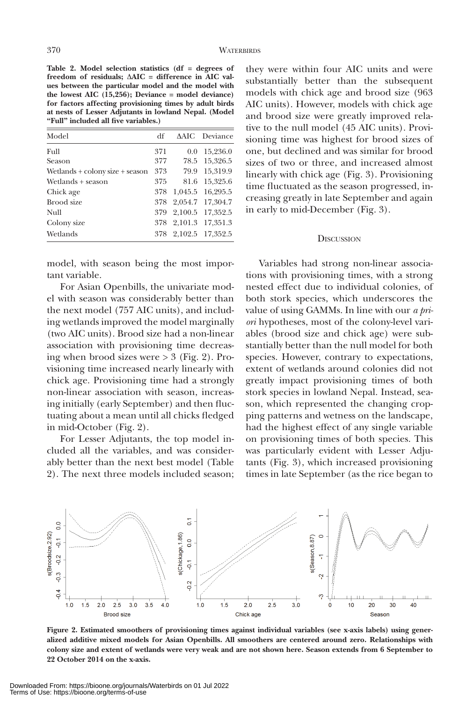**Table 2. Model selection statistics (df = degrees of freedom of residuals;** Δ**AIC = difference in AIC values between the particular model and the model with the lowest AIC (15,256); Deviance = model deviance) for factors affecting provisioning times by adult birds at nests of Lesser Adjutants in lowland Nepal. (Model "Full" included all five variables.)**

| Model                                         | df  |      | AAIC Deviance    |
|-----------------------------------------------|-----|------|------------------|
| Full                                          | 371 | 0.0  | 15,236.0         |
| Season                                        | 377 | 78.5 | 15,326.5         |
| Wetlands + $\frac{1}{2}$ colony size + season | 373 | 79.9 | 15,319.9         |
| Wetlands + season                             | 375 |      | 81.6 15,325.6    |
| Chick age                                     | 378 |      | 1,045.5 16,295.5 |
| Brood size                                    | 378 |      | 2,054.7 17,304.7 |
| Null                                          | 379 |      | 2.100.5 17.352.5 |
| Colony size                                   | 378 |      | 2,101.3 17,351.3 |
| Wetlands                                      | 378 |      | 2.102.5 17.352.5 |

model, with season being the most important variable.

For Asian Openbills, the univariate model with season was considerably better than the next model (757 AIC units), and including wetlands improved the model marginally (two AIC units). Brood size had a non-linear association with provisioning time decreasing when brood sizes were  $> 3$  (Fig. 2). Provisioning time increased nearly linearly with chick age. Provisioning time had a strongly non-linear association with season, increasing initially (early September) and then fluctuating about a mean until all chicks fledged in mid-October (Fig. 2).

For Lesser Adjutants, the top model included all the variables, and was considerably better than the next best model (Table 2). The next three models included season;

they were within four AIC units and were substantially better than the subsequent models with chick age and brood size (963 AIC units). However, models with chick age and brood size were greatly improved relative to the null model (45 AIC units). Provisioning time was highest for brood sizes of one, but declined and was similar for brood sizes of two or three, and increased almost linearly with chick age (Fig. 3). Provisioning time fluctuated as the season progressed, increasing greatly in late September and again in early to mid-December (Fig. 3).

# **D**ISCUSSION

Variables had strong non-linear associations with provisioning times, with a strong nested effect due to individual colonies, of both stork species, which underscores the value of using GAMMs. In line with our *a priori* hypotheses, most of the colony-level variables (brood size and chick age) were substantially better than the null model for both species. However, contrary to expectations, extent of wetlands around colonies did not greatly impact provisioning times of both stork species in lowland Nepal. Instead, season, which represented the changing cropping patterns and wetness on the landscape, had the highest effect of any single variable on provisioning times of both species. This was particularly evident with Lesser Adjutants (Fig. 3), which increased provisioning times in late September (as the rice began to



**Figure 2. Estimated smoothers of provisioning times against individual variables (see x-axis labels) using generalized additive mixed models for Asian Openbills. All smoothers are centered around zero. Relationships with colony size and extent of wetlands were very weak and are not shown here. Season extends from 6 September to 22 October 2014 on the x-axis.**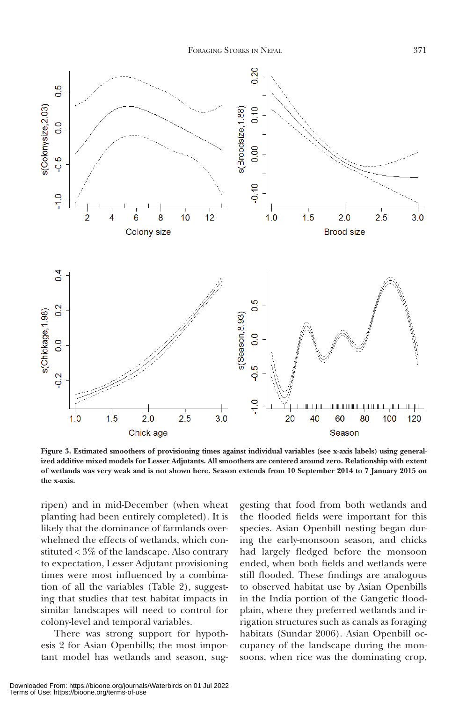

**Figure 3. Estimated smoothers of provisioning times against individual variables (see x-axis labels) using generalized additive mixed models for Lesser Adjutants. All smoothers are centered around zero. Relationship with extent of wetlands was very weak and is not shown here. Season extends from 10 September 2014 to 7 January 2015 on the x-axis.**

ripen) and in mid-December (when wheat planting had been entirely completed). It is likely that the dominance of farmlands overwhelmed the effects of wetlands, which constituted < 3% of the landscape. Also contrary to expectation, Lesser Adjutant provisioning times were most influenced by a combination of all the variables (Table 2), suggesting that studies that test habitat impacts in similar landscapes will need to control for colony-level and temporal variables.

There was strong support for hypothesis 2 for Asian Openbills; the most important model has wetlands and season, suggesting that food from both wetlands and the flooded fields were important for this species. Asian Openbill nesting began during the early-monsoon season, and chicks had largely fledged before the monsoon ended, when both fields and wetlands were still flooded. These findings are analogous to observed habitat use by Asian Openbills in the India portion of the Gangetic floodplain, where they preferred wetlands and irrigation structures such as canals as foraging habitats (Sundar 2006). Asian Openbill occupancy of the landscape during the monsoons, when rice was the dominating crop,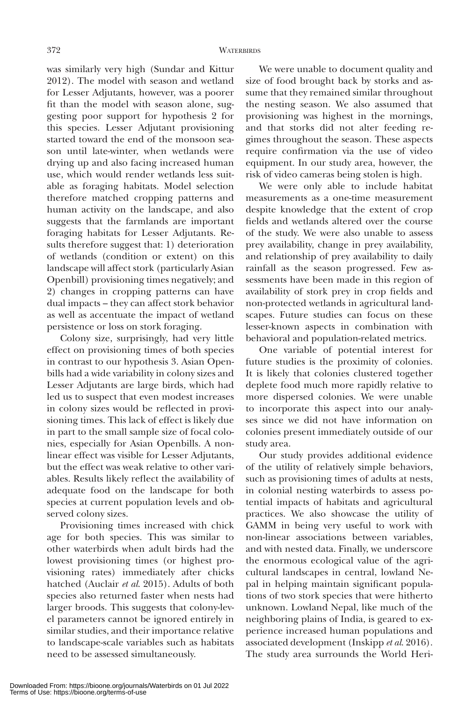was similarly very high (Sundar and Kittur 2012). The model with season and wetland for Lesser Adjutants, however, was a poorer fit than the model with season alone, suggesting poor support for hypothesis 2 for this species. Lesser Adjutant provisioning started toward the end of the monsoon season until late-winter, when wetlands were drying up and also facing increased human use, which would render wetlands less suitable as foraging habitats. Model selection therefore matched cropping patterns and human activity on the landscape, and also suggests that the farmlands are important foraging habitats for Lesser Adjutants. Results therefore suggest that: 1) deterioration of wetlands (condition or extent) on this landscape will affect stork (particularly Asian Openbill) provisioning times negatively; and 2) changes in cropping patterns can have dual impacts – they can affect stork behavior as well as accentuate the impact of wetland persistence or loss on stork foraging.

Colony size, surprisingly, had very little effect on provisioning times of both species in contrast to our hypothesis 3. Asian Openbills had a wide variability in colony sizes and Lesser Adjutants are large birds, which had led us to suspect that even modest increases in colony sizes would be reflected in provisioning times. This lack of effect is likely due in part to the small sample size of focal colonies, especially for Asian Openbills. A nonlinear effect was visible for Lesser Adjutants, but the effect was weak relative to other variables. Results likely reflect the availability of adequate food on the landscape for both species at current population levels and observed colony sizes.

Provisioning times increased with chick age for both species. This was similar to other waterbirds when adult birds had the lowest provisioning times (or highest provisioning rates) immediately after chicks hatched (Auclair *et al*. 2015). Adults of both species also returned faster when nests had larger broods. This suggests that colony-level parameters cannot be ignored entirely in similar studies, and their importance relative to landscape-scale variables such as habitats need to be assessed simultaneously.

We were unable to document quality and size of food brought back by storks and assume that they remained similar throughout the nesting season. We also assumed that provisioning was highest in the mornings, and that storks did not alter feeding regimes throughout the season. These aspects require confirmation via the use of video equipment. In our study area, however, the risk of video cameras being stolen is high.

We were only able to include habitat measurements as a one-time measurement despite knowledge that the extent of crop fields and wetlands altered over the course of the study. We were also unable to assess prey availability, change in prey availability, and relationship of prey availability to daily rainfall as the season progressed. Few assessments have been made in this region of availability of stork prey in crop fields and non-protected wetlands in agricultural landscapes. Future studies can focus on these lesser-known aspects in combination with behavioral and population-related metrics.

One variable of potential interest for future studies is the proximity of colonies. It is likely that colonies clustered together deplete food much more rapidly relative to more dispersed colonies. We were unable to incorporate this aspect into our analyses since we did not have information on colonies present immediately outside of our study area.

Our study provides additional evidence of the utility of relatively simple behaviors, such as provisioning times of adults at nests, in colonial nesting waterbirds to assess potential impacts of habitats and agricultural practices. We also showcase the utility of GAMM in being very useful to work with non-linear associations between variables, and with nested data. Finally, we underscore the enormous ecological value of the agricultural landscapes in central, lowland Nepal in helping maintain significant populations of two stork species that were hitherto unknown. Lowland Nepal, like much of the neighboring plains of India, is geared to experience increased human populations and associated development (Inskipp *et al*. 2016). The study area surrounds the World Heri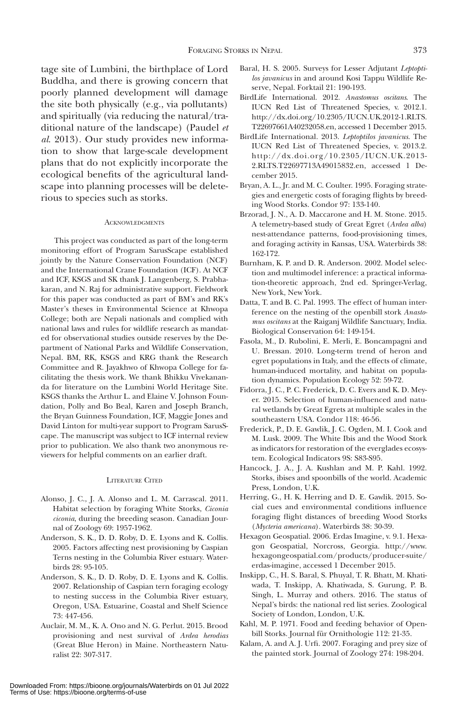tage site of Lumbini, the birthplace of Lord Buddha, and there is growing concern that poorly planned development will damage the site both physically (e.g., via pollutants) and spiritually (via reducing the natural/traditional nature of the landscape) (Paudel *et al*. 2013). Our study provides new information to show that large-scale development plans that do not explicitly incorporate the ecological benefits of the agricultural landscape into planning processes will be deleterious to species such as storks.

#### **ACKNOWLEDGMENTS**

This project was conducted as part of the long-term monitoring effort of Program SarusScape established jointly by the Nature Conservation Foundation (NCF) and the International Crane Foundation (ICF). At NCF and ICF, KSGS and SK thank J. Langenberg, S. Prabhakaran, and N. Raj for administrative support. Fieldwork for this paper was conducted as part of BM's and RK's Master's theses in Environmental Science at Khwopa College; both are Nepali nationals and complied with national laws and rules for wildlife research as mandated for observational studies outside reserves by the Department of National Parks and Wildlife Conservation, Nepal. BM, RK, KSGS and KRG thank the Research Committee and R. Jayakhwo of Khwopa College for facilitating the thesis work. We thank Bhikku Vivekananda for literature on the Lumbini World Heritage Site. KSGS thanks the Arthur L. and Elaine V. Johnson Foundation, Polly and Bo Beal, Karen and Joseph Branch, the Bryan Guinness Foundation, ICF, Maggie Jones and David Linton for multi-year support to Program SarusScape. The manuscript was subject to ICF internal review prior to publication. We also thank two anonymous reviewers for helpful comments on an earlier draft.

#### Literature Cited

- Alonso, J. C., J. A. Alonso and L. M. Carrascal. 2011. Habitat selection by foraging White Storks, *Ciconia ciconia*, during the breeding season. Canadian Journal of Zoology 69: 1957-1962.
- Anderson, S. K., D. D. Roby, D. E. Lyons and K. Collis. 2005. Factors affecting nest provisioning by Caspian Terns nesting in the Columbia River estuary. Waterbirds 28: 95-105.
- Anderson, S. K., D. D. Roby, D. E. Lyons and K. Collis. 2007. Relationship of Caspian tern foraging ecology to nesting success in the Columbia River estuary, Oregon, USA. Estuarine, Coastal and Shelf Science 73: 447-456.
- Auclair, M. M., K. A. Ono and N. G. Perlut. 2015. Brood provisioning and nest survival of *Ardea herodias* (Great Blue Heron) in Maine. Northeastern Naturalist 22: 307-317.
- Baral, H. S. 2005. Surveys for Lesser Adjutant *Leptoptilos javanicus* in and around Kosi Tappu Wildlife Reserve, Nepal. Forktail 21: 190-193.
- BirdLife International. 2012. *Anastomus oscitans*. The IUCN Red List of Threatened Species, v. 2012.1. http://dx.doi.org/10.2305/IUCN.UK.2012-1.RLTS. T22697661A40232058.en, accessed 1 December 2015.
- BirdLife International. 2013. *Leptoptilos javanicus*. The IUCN Red List of Threatened Species, v. 2013.2. http://dx.doi.org/10.2305/IUCN.UK.2013- 2.RLTS.T22697713A49015832.en, accessed 1 December 2015.
- Bryan, A. L., Jr. and M. C. Coulter. 1995. Foraging strategies and energetic costs of foraging flights by breeding Wood Storks. Condor 97: 133-140.
- Brzorad, J. N., A. D. Maccarone and H. M. Stone. 2015. A telemetry-based study of Great Egret (*Ardea alba*) nest-attendance patterns, food-provisioning times, and foraging activity in Kansas, USA. Waterbirds 38: 162-172.
- Burnham, K. P. and D. R. Anderson. 2002. Model selection and multimodel inference: a practical information-theoretic approach, 2nd ed. Springer-Verlag, New York, New York.
- Datta, T. and B. C. Pal. 1993. The effect of human interference on the nesting of the openbill stork *Anastomus oscitans* at the Raiganj Wildlife Sanctuary, India. Biological Conservation 64: 149-154.
- Fasola, M., D. Rubolini, E. Merli, E. Boncampagni and U. Bressan. 2010. Long-term trend of heron and egret populations in Italy, and the effects of climate, human-induced mortality, and habitat on population dynamics. Population Ecology 52: 59-72.
- Fidorra, J. C., P. C. Frederick, D. C. Evers and K. D. Meyer. 2015. Selection of human-influenced and natural wetlands by Great Egrets at multiple scales in the southeastern USA. Condor 118: 46-56.
- Frederick, P., D. E. Gawlik, J. C. Ogden, M. I. Cook and M. Lusk. 2009. The White Ibis and the Wood Stork as indicators for restoration of the everglades ecosystem. Ecological Indicators 9S: S83-S95.
- Hancock, J. A., J. A. Kushlan and M. P. Kahl. 1992. Storks, ibises and spoonbills of the world. Academic Press, London, U.K.
- Herring, G., H. K. Herring and D. E. Gawlik. 2015. Social cues and environmental conditions influence foraging flight distances of breeding Wood Storks (*Mycteria americana*). Waterbirds 38: 30-39.
- Hexagon Geospatial. 2006. Erdas Imagine, v. 9.1. Hexagon Geospatial, Norcross, Georgia. http://www. hexagongeospatial.com/products/producer-suite/ erdas-imagine, accessed 1 December 2015.
- Inskipp, C., H. S. Baral, S. Phuyal, T. R. Bhatt, M. Khatiwada, T. Inskipp, A. Khatiwada, S. Gurung, P. B. Singh, L. Murray and others. 2016. The status of Nepal's birds: the national red list series. Zoological Society of London, London, U.K.
- Kahl, M. P. 1971. Food and feeding behavior of Openbill Storks. Journal für Ornithologie 112: 21-35.
- Kalam, A. and A. J. Urfi. 2007. Foraging and prey size of the painted stork. Journal of Zoology 274: 198-204.